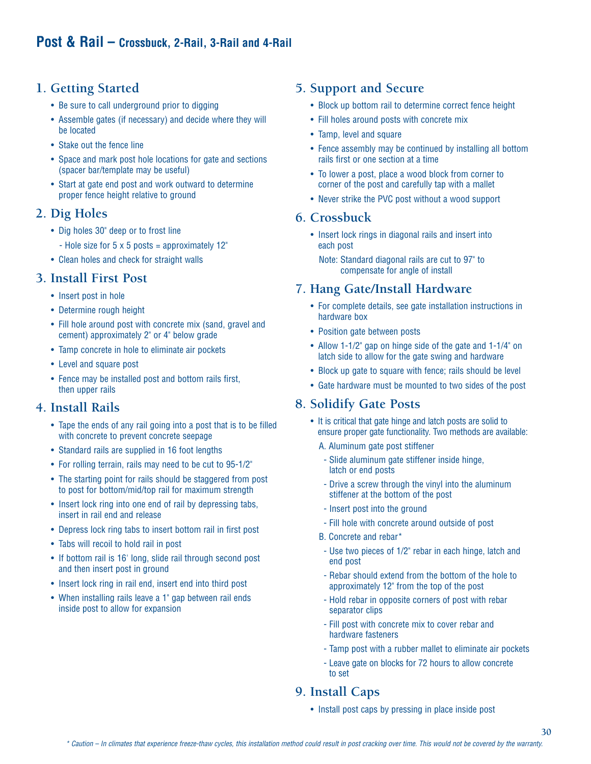# **1. Getting Started**

- Be sure to call underground prior to digging
- Assemble gates (if necessary) and decide where they will be located
- Stake out the fence line
- Space and mark post hole locations for gate and sections (spacer bar/template may be useful)
- Start at gate end post and work outward to determine proper fence height relative to ground

# **2. Dig Holes**

- Dig holes 30" deep or to frost line
	- Hole size for  $5 \times 5$  posts = approximately  $12$ "
- Clean holes and check for straight walls

# **3. Install First Post**

- Insert post in hole
- Determine rough height
- Fill hole around post with concrete mix (sand, gravel and cement) approximately 2" or 4" below grade
- Tamp concrete in hole to eliminate air pockets
- Level and square post
- Fence may be installed post and bottom rails first, then upper rails

# **4. Install Rails**

- Tape the ends of any rail going into a post that is to be filled with concrete to prevent concrete seepage
- Standard rails are supplied in 16 foot lengths
- For rolling terrain, rails may need to be cut to 95-1/2"
- The starting point for rails should be staggered from post to post for bottom/mid/top rail for maximum strength
- Insert lock ring into one end of rail by depressing tabs, insert in rail end and release
- Depress lock ring tabs to insert bottom rail in first post
- Tabs will recoil to hold rail in post
- If bottom rail is 16' long, slide rail through second post and then insert post in ground
- Insert lock ring in rail end, insert end into third post
- When installing rails leave a 1" gap between rail ends inside post to allow for expansion

# **5. Support and Secure**

- Block up bottom rail to determine correct fence height
- Fill holes around posts with concrete mix
- Tamp, level and square
- Fence assembly may be continued by installing all bottom rails first or one section at a time
- To lower a post, place a wood block from corner to corner of the post and carefully tap with a mallet
- Never strike the PVC post without a wood support

#### **6. Crossbuck**

• Insert lock rings in diagonal rails and insert into each post

Note: Standard diagonal rails are cut to 97" to compensate for angle of install

#### **7. Hang Gate/Install Hardware**

- For complete details, see gate installation instructions in hardware box
- Position gate between posts
- Allow 1-1/2" gap on hinge side of the gate and 1-1/4" on latch side to allow for the gate swing and hardware
- Block up gate to square with fence; rails should be level
- Gate hardware must be mounted to two sides of the post

### **8. Solidify Gate Posts**

- It is critical that gate hinge and latch posts are solid to ensure proper gate functionality. Two methods are available:
	- A. Aluminum gate post stiffener
	- Slide aluminum gate stiffener inside hinge, latch or end posts
	- Drive a screw through the vinyl into the aluminum stiffener at the bottom of the post
	- Insert post into the ground
	- Fill hole with concrete around outside of post
	- B. Concrete and rebar\*
	- Use two pieces of 1/2" rebar in each hinge, latch and end post
	- Rebar should extend from the bottom of the hole to approximately 12" from the top of the post
	- Hold rebar in opposite corners of post with rebar separator clips
	- Fill post with concrete mix to cover rebar and hardware fasteners
	- Tamp post with a rubber mallet to eliminate air pockets
	- Leave gate on blocks for 72 hours to allow concrete to set

# **9. Install Caps**

• Install post caps by pressing in place inside post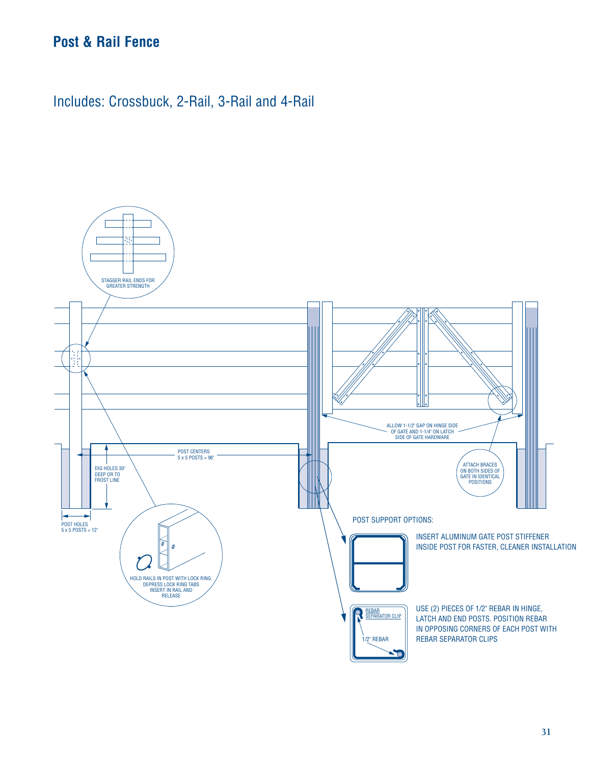# **Post & Rail Fence**

Includes: Crossbuck, 2-Rail, 3-Rail and 4-Rail

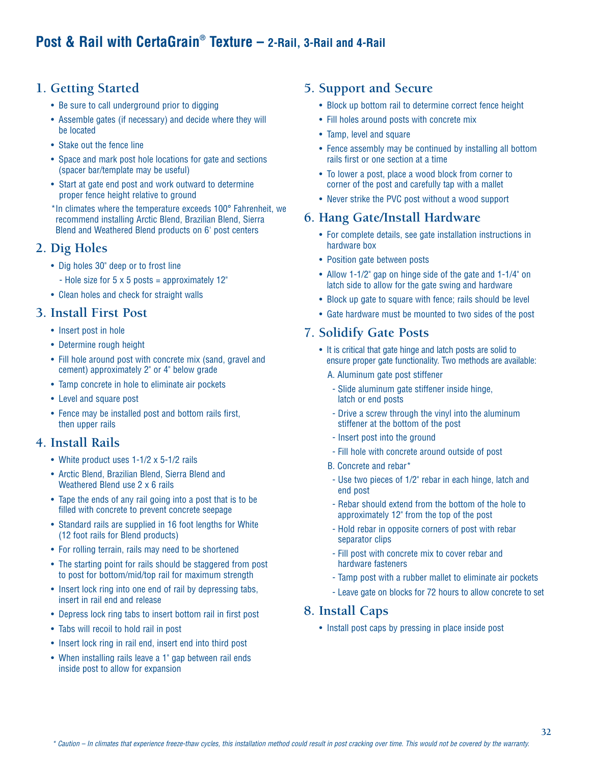# **1. Getting Started**

- Be sure to call underground prior to digging
- Assemble gates (if necessary) and decide where they will be located
- Stake out the fence line
- Space and mark post hole locations for gate and sections (spacer bar/template may be useful)
- Start at gate end post and work outward to determine proper fence height relative to ground
- \*In climates where the temperature exceeds 100° Fahrenheit, we recommend installing Arctic Blend, Brazilian Blend, Sierra Blend and Weathered Blend products on 6' post centers

# **2. Dig Holes**

- Dig holes 30" deep or to frost line
	- Hole size for  $5 \times 5$  posts = approximately 12"
- Clean holes and check for straight walls

# **3. Install First Post**

- Insert post in hole
- Determine rough height
- Fill hole around post with concrete mix (sand, gravel and cement) approximately 2" or 4" below grade
- Tamp concrete in hole to eliminate air pockets
- Level and square post
- Fence may be installed post and bottom rails first, then upper rails

### **4. Install Rails**

- White product uses 1-1/2 x 5-1/2 rails
- Arctic Blend, Brazilian Blend, Sierra Blend and Weathered Blend use 2 x 6 rails
- Tape the ends of any rail going into a post that is to be filled with concrete to prevent concrete seepage
- Standard rails are supplied in 16 foot lengths for White (12 foot rails for Blend products)
- For rolling terrain, rails may need to be shortened
- The starting point for rails should be staggered from post to post for bottom/mid/top rail for maximum strength
- Insert lock ring into one end of rail by depressing tabs, insert in rail end and release
- Depress lock ring tabs to insert bottom rail in first post
- Tabs will recoil to hold rail in post
- Insert lock ring in rail end, insert end into third post
- When installing rails leave a 1" gap between rail ends inside post to allow for expansion

# **5. Support and Secure**

- Block up bottom rail to determine correct fence height
- Fill holes around posts with concrete mix
- Tamp, level and square
- Fence assembly may be continued by installing all bottom rails first or one section at a time
- To lower a post, place a wood block from corner to corner of the post and carefully tap with a mallet
- Never strike the PVC post without a wood support

# **6. Hang Gate/Install Hardware**

- For complete details, see gate installation instructions in hardware box
- Position gate between posts
- Allow 1-1/2" gap on hinge side of the gate and 1-1/4" on latch side to allow for the gate swing and hardware
- Block up gate to square with fence; rails should be level
- Gate hardware must be mounted to two sides of the post

### **7. Solidify Gate Posts**

- It is critical that gate hinge and latch posts are solid to ensure proper gate functionality. Two methods are available:
	- A. Aluminum gate post stiffener
	- Slide aluminum gate stiffener inside hinge, latch or end posts
	- Drive a screw through the vinyl into the aluminum stiffener at the bottom of the post
	- Insert post into the ground
	- Fill hole with concrete around outside of post
	- B. Concrete and rebar\*
	- Use two pieces of 1/2" rebar in each hinge, latch and end post
	- Rebar should extend from the bottom of the hole to approximately 12" from the top of the post
	- Hold rebar in opposite corners of post with rebar separator clips
	- Fill post with concrete mix to cover rebar and hardware fasteners
	- Tamp post with a rubber mallet to eliminate air pockets
	- Leave gate on blocks for 72 hours to allow concrete to set

### **8. Install Caps**

• Install post caps by pressing in place inside post